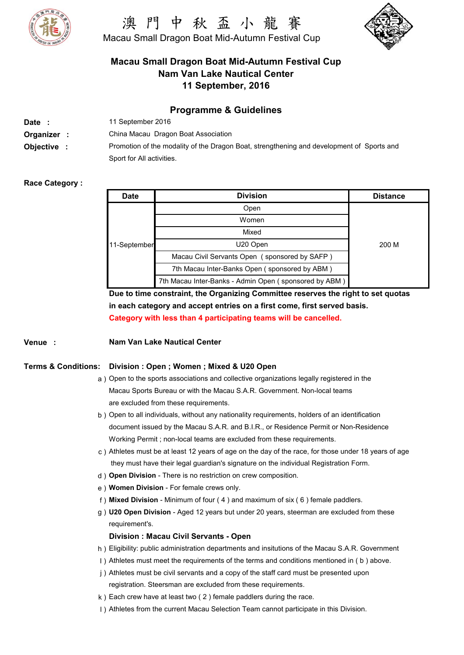

# 中 秋 盃 小 龍 Macau Small Dragon Boat Mid-Autumn Festival Cup



# **Macau Small Dragon Boat Mid-Autumn Festival Cup Nam Van Lake Nautical Center 11 September, 2016**

## **Programme & Guidelines**

| Date :      | 11 September 2016                                                                         |
|-------------|-------------------------------------------------------------------------------------------|
| Organizer : | China Macau Dragon Boat Association                                                       |
| Objective   | Promotion of the modality of the Dragon Boat, strengthening and development of Sports and |
|             | Sport for All activities.                                                                 |

### **Race Category :**

| <b>Date</b>  | <b>Division</b>                                       | <b>Distance</b> |
|--------------|-------------------------------------------------------|-----------------|
| 11-September | Open                                                  |                 |
|              | Women                                                 |                 |
|              | Mixed                                                 |                 |
|              | U20 Open                                              | 200 M           |
|              | Macau Civil Servants Open (sponsored by SAFP)         |                 |
|              | 7th Macau Inter-Banks Open (sponsored by ABM)         |                 |
|              | 7th Macau Inter-Banks - Admin Open (sponsored by ABM) |                 |

**Due to time constraint, the Organizing Committee reserves the right to set quotas in each category and accept entries on a first come, first served basis. Category with less than 4 participating teams will be cancelled.**

#### **Venue : Nam Van Lake Nautical Center**

#### **Terms & Conditions: Division : Open ; Women ; Mixed & U20 Open**

- a ) Open to the sports associations and collective organizations legally registered in the are excluded from these requirements. Macau Sports Bureau or with the Macau S.A.R. Government. Non-local teams
- b ) Open to all individuals, without any nationality requirements, holders of an identification Working Permit ; non-local teams are excluded from these requirements. document issued by the Macau S.A.R. and B.I.R., or Residence Permit or Non-Residence
- c ) Athletes must be at least 12 years of age on the day of the race, for those under 18 years of age they must have their legal guardian's signature on the individual Registration Form.
- d ) **Open Division** There is no restriction on crew composition.
- e ) **Women Division** For female crews only.
- f ) **Mixed Division** Minimum of four ( 4 ) and maximum of six ( 6 ) female paddlers.
- g ) **U20 Open Division** Aged 12 years but under 20 years, steerman are excluded from these requirement's.

#### **Division : Macau Civil Servants - Open**

- h ) Eligibility: public administration departments and insitutions of the Macau S.A.R. Government
- I ) Athletes must meet the requirements of the terms and conditions mentioned in ( b ) above.
- j ) Athletes must be civil servants and a copy of the staff card must be presented upon
	- registration. Steersman are excluded from these requirements.
- k ) Each crew have at least two ( 2 ) female paddlers during the race.
- l ) and (iii) in the set of  $\vert$  ) in the set of  $\vert$  ) in the set of  $\vert$  ) in the set of  $\vert$  in the set of  $\vert$  in the set of  $\vert$  in the set of  $\vert$  in the set of  $\vert$  in the set of  $\vert$  in the set of  $\vert$  in the set o I) Athletes from the current Macau Selection Team cannot participate in this Division.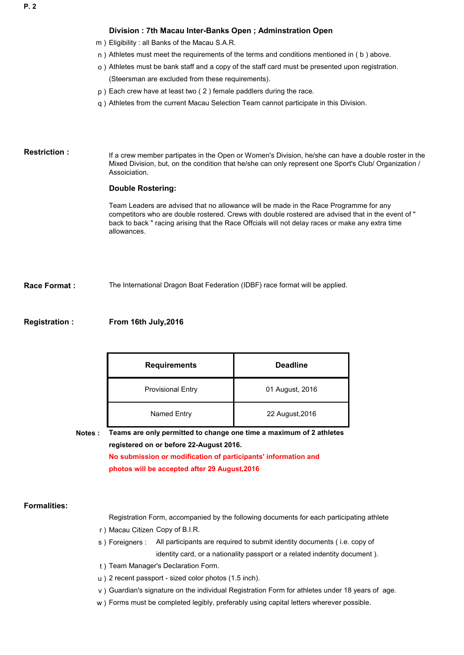#### **Division : 7th Macau Inter-Banks Open ; Adminstration Open**

- m ) Eligibility : all Banks of the Macau S.A.R.
- n ) Athletes must meet the requirements of the terms and conditions mentioned in ( b ) above.
	- o ) Athletes must be bank staff and a copy of the staff card must be presented upon registration. (Steersman are excluded from these requirements).
	- p ) Each crew have at least two ( 2 ) female paddlers during the race.
	- q ) Athletes from the current Macau Selection Team cannot participate in this Division.

#### **Restriction :**

If a crew member partipates in the Open or Women's Division, he/she can have a double roster in the Mixed Division, but, on the condition that he/she can only represent one Sport's Club/ Organization / Assoiciation.

#### **Double Rostering:**

Team Leaders are advised that no allowance will be made in the Race Programme for any competitors who are double rostered. Crews with double rostered are advised that in the event of " back to back " racing arising that the Race Offcials will not delay races or make any extra time allowances.

**Race Format :** The International Dragon Boat Federation (IDBF) race format will be applied.

#### **Registration : From 16th July,2016**

| <b>Requirements</b>      | <b>Deadline</b> |
|--------------------------|-----------------|
| <b>Provisional Entry</b> | 01 August, 2016 |
| Named Entry              | 22 August, 2016 |

**Notes :**

**No submission or modification of participants' information and registered on or before 22-August 2016. Teams are only permitted to change one time a maximum of 2 athletes** 

**photos will be accepted after 29 August,2016**

#### **Formalities:**

Registration Form, accompanied by the following documents for each participating athlete

- r ) Macau Citizen Copy of B.I.R.
- s ) Foreigners : All participants are required to submit identity documents ( i.e. copy of identity card, or a nationality passport or a related indentity document ).
- t ) Team Manager's Declaration Form.
- u ) 2 recent passport sized color photos (1.5 inch).
- v ) Guardian's signature on the individual Registration Form for athletes under 18 years of age.
- w ) Forms must be completed legibly, preferably using capital letters wherever possible.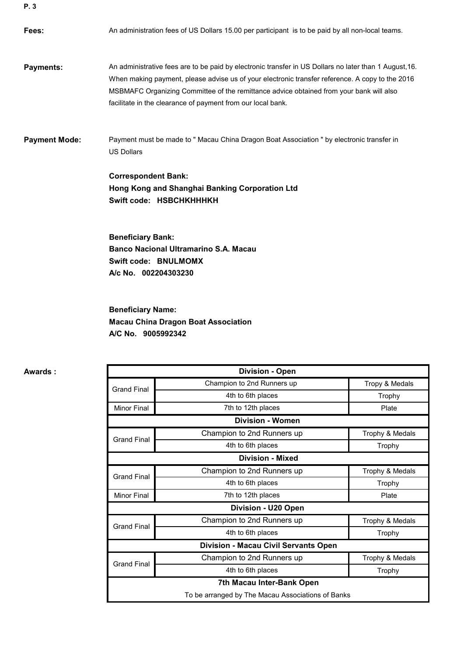**Fees: Payments: Payment Mode:** Payment must be made to " Macau China Dragon Boat Association " by electronic transfer in US Dollars An administrative fees are to be paid by electronic transfer in US Dollars no later than 1 August,16. When making payment, please advise us of your electronic transfer reference. A copy to the 2016 MSBMAFC Organizing Committee of the remittance advice obtained from your bank will also facilitate in the clearance of payment from our local bank. An administration fees of US Dollars 15.00 per participant is to be paid by all non-local teams.

> **Swift code: HSBCHKHHHKH Correspondent Bank: Hong Kong and Shanghai Banking Corporation Ltd**

**Beneficiary Bank: Banco Nacional Ultramarino S.A. Macau Swift code: BNULMOMX A/c No. 002204303230**

**Beneficiary Name: Macau China Dragon Boat Association A/C No. 9005992342**

Tropy & Medals Trophy Minor Final **Plate Plate 7th to 12th places Plate Plate Plate** Trophy & Medals Trophy Trophy & Medals Trophy Minor Final **Plate Plate 2018** The of 12th places and the control of the Plate Trophy & Medals Trophy Trophy & Medals Trophy **7th Macau Inter-Bank Open** To be arranged by The Macau Associations of Banks **Division - U20 Open**  Champion to 2nd Runners up Champion to 2nd Runners up 4th to 6th places Grand Final Grand Final Champion to 2nd Runners up 4th to 6th places **Division - Women Division - Macau Civil Servants Open** Champion to 2nd Runners up Grand Final Champion to 2nd Runners up **Division - Mixed** 4th to 6th places 4th to 6th places Grand Final 4th to 6th places Grand Final **Division - Open** 

**Awards :**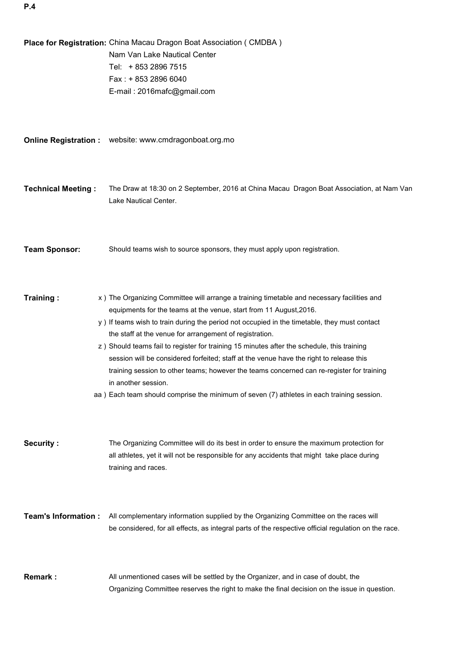**Place for Registration:** China Macau Dragon Boat Association ( CMDBA ) Fax : + 853 2896 6040 E-mail : 2016mafc@gmail.com **Online Registration :** website: www.cmdragonboat.org.mo**Technical Meeting :** The Draw at 18:30 on 2 September, 2016 at China Macau Dragon Boat Association, at Nam Van Lake Nautical Center. **Team Sponsor:** Should teams wish to source sponsors, they must apply upon registration. **Training :** x ) The Organizing Committee will arrange a training timetable and necessary facilities and equipments for the teams at the venue, start from 11 August,2016. y ) If teams wish to train during the period not occupied in the timetable, they must contact the staff at the venue for arrangement of registration. z ) Should teams fail to register for training 15 minutes after the schedule, this training session will be considered forfeited; staff at the venue have the right to release this training session to other teams; however the teams concerned can re-register for training in another session. aa ) Each team should comprise the minimum of seven (7) athletes in each training session. **Security :** The Organizing Committee will do its best in order to ensure the maximum protection for all athletes, yet it will not be responsible for any accidents that might take place during training and races. **Team's Information :** All complementary information supplied by the Organizing Committee on the races will be considered, for all effects, as integral parts of the respective official regulation on the race. **Remark :** All unmentioned cases will be settled by the Organizer, and in case of doubt, the Organizing Committee reserves the right to make the final decision on the issue in question. Nam Van Lake Nautical Center Tel: + 853 2896 7515

**P.4**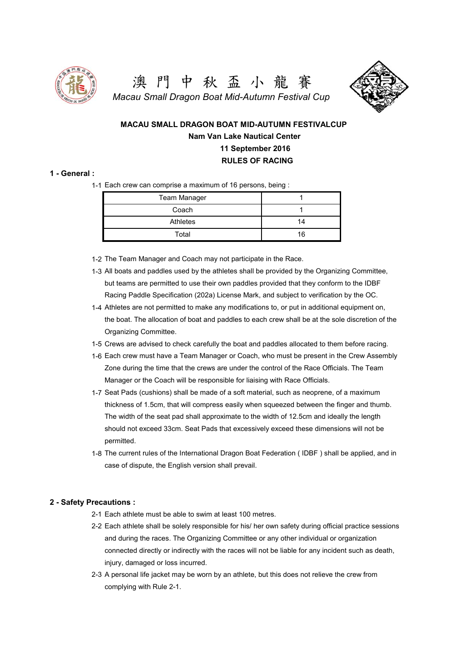

澳 門 中 秋 盃 小 龍 賽 *Macau Small Dragon Boat Mid-Autumn Festival Cup*



 **MACAU SMALL DRAGON BOAT MID-AUTUMN FESTIVALCUP Nam Van Lake Nautical Center 11 September 2016 RULES OF RACING**

#### **1 - General :**

1-1 Each crew can comprise a maximum of 16 persons, being :

| Team Manager |    |
|--------------|----|
| Coach        |    |
| Athletes     | 14 |
| Total        | 16 |

- 1-2 The Team Manager and Coach may not participate in the Race.
- 1-3 All boats and paddles used by the athletes shall be provided by the Organizing Committee, but teams are permitted to use their own paddles provided that they conform to the IDBF Racing Paddle Specification (202a) License Mark, and subject to verification by the OC.
- 1-4 Athletes are not permitted to make any modifications to, or put in additional equipment on, the boat. The allocation of boat and paddles to each crew shall be at the sole discretion of the Organizing Committee.
- 1-5 Crews are advised to check carefully the boat and paddles allocated to them before racing.
- 1-6 Each crew must have a Team Manager or Coach, who must be present in the Crew Assembly Zone during the time that the crews are under the control of the Race Officials. The Team Manager or the Coach will be responsible for liaising with Race Officials.
- 1-7 Seat Pads (cushions) shall be made of a soft material, such as neoprene, of a maximum thickness of 1.5cm, that will compress easily when squeezed between the finger and thumb. The width of the seat pad shall approximate to the width of 12.5cm and ideally the length should not exceed 33cm. Seat Pads that excessively exceed these dimensions will not be permitted.
- 1-8 The current rules of the International Dragon Boat Federation ( IDBF ) shall be applied, and in case of dispute, the English version shall prevail.

#### **2 - Safety Precautions :**

- 2-1 Each athlete must be able to swim at least 100 metres.
- 2-2 Each athlete shall be solely responsible for his/ her own safety during official practice sessions and during the races. The Organizing Committee or any other individual or organization connected directly or indirectly with the races will not be liable for any incident such as death, injury, damaged or loss incurred.
- 2-3 A personal life jacket may be worn by an athlete, but this does not relieve the crew from complying with Rule 2-1.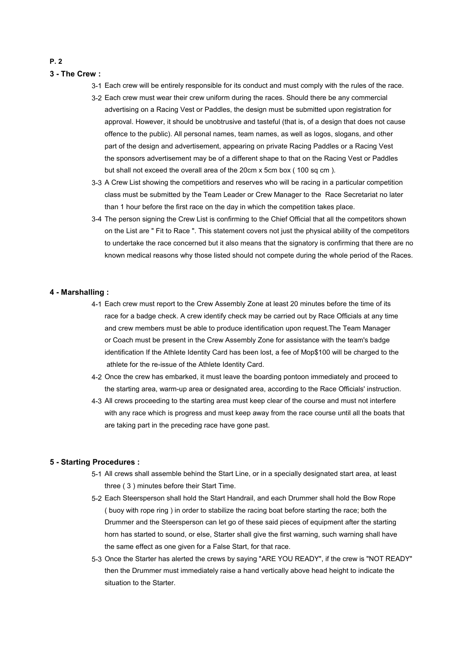### **3 - The Crew :**

- 3-1 Each crew will be entirely responsible for its conduct and must comply with the rules of the race.
- 3-2 Each crew must wear their crew uniform during the races. Should there be any commercial advertising on a Racing Vest or Paddles, the design must be submitted upon registration for approval. However, it should be unobtrusive and tasteful (that is, of a design that does not cause offence to the public). All personal names, team names, as well as logos, slogans, and other part of the design and advertisement, appearing on private Racing Paddles or a Racing Vest the sponsors advertisement may be of a different shape to that on the Racing Vest or Paddles but shall not exceed the overall area of the 20cm x 5cm box (100 sq cm).
- 3-3 A Crew List showing the competitiors and reserves who will be racing in a particular competition class must be submitted by the Team Leader or Crew Manager to the Race Secretariat no later than 1 hour before the first race on the day in which the competition takes place.
- 3-4 The person signing the Crew List is confirming to the Chief Official that all the competitors shown on the List are " Fit to Race ". This statement covers not just the physical ability of the competitors to undertake the race concerned but it also means that the signatory is confirming that there are no known medical reasons why those listed should not compete during the whole period of the Races.

#### **4 - Marshalling :**

- 4-1 Each crew must report to the Crew Assembly Zone at least 20 minutes before the time of its race for a badge check. A crew identify check may be carried out by Race Officials at any time and crew members must be able to produce identification upon request.The Team Manager or Coach must be present in the Crew Assembly Zone for assistance with the team's badge identification If the Athlete Identity Card has been lost, a fee of Mop\$100 will be charged to the athlete for the re-issue of the Athlete Identity Card.
- 4-2 Once the crew has embarked, it must leave the boarding pontoon immediately and proceed to the starting area, warm-up area or designated area, according to the Race Officials' instruction.
- 4-3 All crews proceeding to the starting area must keep clear of the course and must not interfere with any race which is progress and must keep away from the race course until all the boats that are taking part in the preceding race have gone past.

#### **5 - Starting Procedures :**

- 5-1 All crews shall assemble behind the Start Line, or in a specially designated start area, at least three ( 3 ) minutes before their Start Time.
- 5-2 Each Steersperson shall hold the Start Handrail, and each Drummer shall hold the Bow Rope ( buoy with rope ring ) in order to stabilize the racing boat before starting the race; both the Drummer and the Steersperson can let go of these said pieces of equipment after the starting horn has started to sound, or else, Starter shall give the first warning, such warning shall have the same effect as one given for a False Start, for that race.
- 5-3 Once the Starter has alerted the crews by saying "ARE YOU READY", if the crew is "NOT READY" then the Drummer must immediately raise a hand vertically above head height to indicate the situation to the Starter.

#### **P. 2**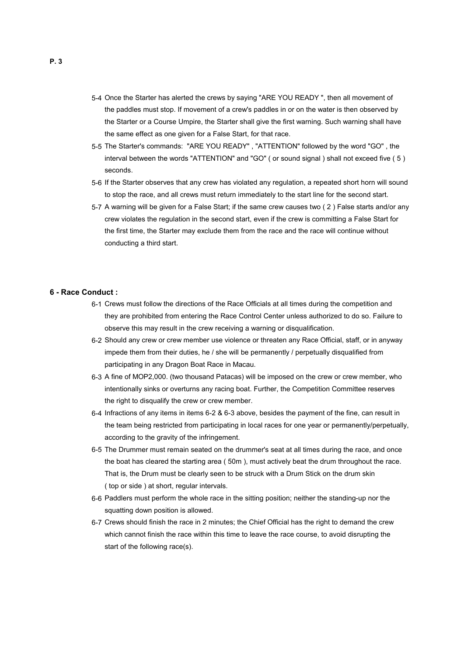- 5-4 Once the Starter has alerted the crews by saying "ARE YOU READY ", then all movement of the paddles must stop. If movement of a crew's paddles in or on the water is then observed by the Starter or a Course Umpire, the Starter shall give the first warning. Such warning shall have the same effect as one given for a False Start, for that race.
- 5-5 The Starter's commands: "ARE YOU READY" , "ATTENTION" followed by the word "GO" , the interval between the words "ATTENTION" and "GO" ( or sound signal ) shall not exceed five ( 5 ) seconds.
	- 5-6 If the Starter observes that any crew has violated any regulation, a repeated short horn will sound to stop the race, and all crews must return immediately to the start line for the second start.
- 5-7 A warning will be given for a False Start; if the same crew causes two ( 2 ) False starts and/or any crew violates the regulation in the second start, even if the crew is committing a False Start for the first time, the Starter may exclude them from the race and the race will continue without conducting a third start.

#### **6 - Race Conduct :**

- 6-1 Crews must follow the directions of the Race Officials at all times during the competition and they are prohibited from entering the Race Control Center unless authorized to do so. Failure to observe this may result in the crew receiving a warning or disqualification.
- 6-2 Should any crew or crew member use violence or threaten any Race Official, staff, or in anyway impede them from their duties, he / she will be permanently / perpetually disqualified from participating in any Dragon Boat Race in Macau.
- 6-3 A fine of MOP2,000. (two thousand Patacas) will be imposed on the crew or crew member, who intentionally sinks or overturns any racing boat. Further, the Competition Committee reserves the right to disqualify the crew or crew member.
- 6-4 Infractions of any items in items 6-2 & 6-3 above, besides the payment of the fine, can result in the team being restricted from participating in local races for one year or permanently/perpetually, according to the gravity of the infringement.
- 6-5 The Drummer must remain seated on the drummer's seat at all times during the race, and once the boat has cleared the starting area ( 50m ), must actively beat the drum throughout the race. That is, the Drum must be clearly seen to be struck with a Drum Stick on the drum skin ( top or side ) at short, regular intervals.
- 6-6 Paddlers must perform the whole race in the sitting position; neither the standing-up nor the squatting down position is allowed.
- 6-7 Crews should finish the race in 2 minutes; the Chief Official has the right to demand the crew which cannot finish the race within this time to leave the race course, to avoid disrupting the start of the following race(s).